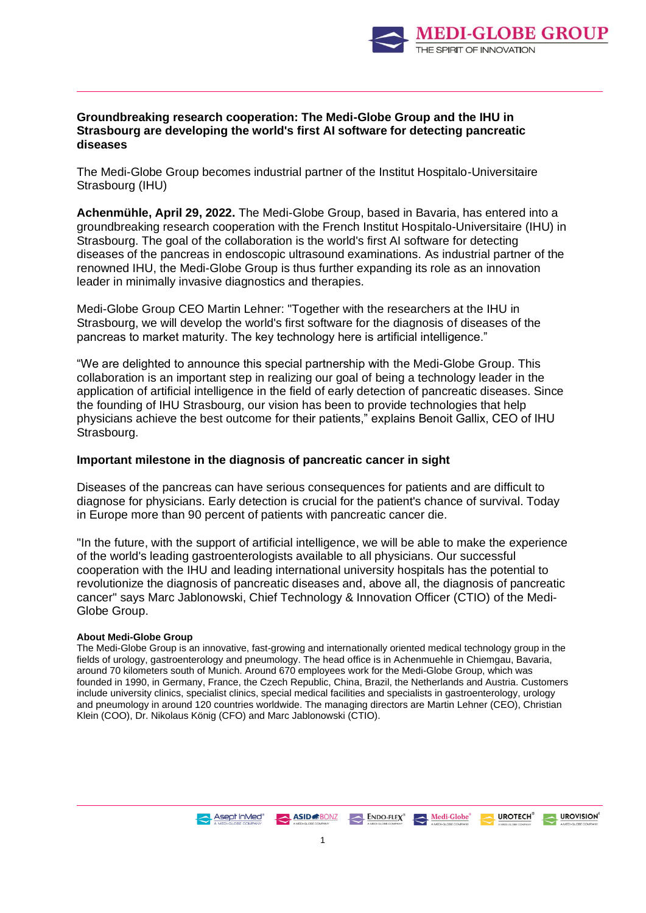

## **Groundbreaking research cooperation: The Medi-Globe Group and the IHU in Strasbourg are developing the world's first AI software for detecting pancreatic diseases**

The Medi-Globe Group becomes industrial partner of the Institut Hospitalo-Universitaire Strasbourg (IHU)

**Achenmühle, April 29, 2022.** The Medi-Globe Group, based in Bavaria, has entered into a groundbreaking research cooperation with the French Institut Hospitalo-Universitaire (IHU) in Strasbourg. The goal of the collaboration is the world's first AI software for detecting diseases of the pancreas in endoscopic ultrasound examinations. As industrial partner of the renowned IHU, the Medi-Globe Group is thus further expanding its role as an innovation leader in minimally invasive diagnostics and therapies.

Medi-Globe Group CEO Martin Lehner: "Together with the researchers at the IHU in Strasbourg, we will develop the world's first software for the diagnosis of diseases of the pancreas to market maturity. The key technology here is artificial intelligence."

"We are delighted to announce this special partnership with the Medi-Globe Group. This collaboration is an important step in realizing our goal of being a technology leader in the application of artificial intelligence in the field of early detection of pancreatic diseases. Since the founding of IHU Strasbourg, our vision has been to provide technologies that help physicians achieve the best outcome for their patients," explains Benoit Gallix, CEO of IHU Strasbourg.

## **Important milestone in the diagnosis of pancreatic cancer in sight**

Diseases of the pancreas can have serious consequences for patients and are difficult to diagnose for physicians. Early detection is crucial for the patient's chance of survival. Today in Europe more than 90 percent of patients with pancreatic cancer die.

"In the future, with the support of artificial intelligence, we will be able to make the experience of the world's leading gastroenterologists available to all physicians. Our successful cooperation with the IHU and leading international university hospitals has the potential to revolutionize the diagnosis of pancreatic diseases and, above all, the diagnosis of pancreatic cancer" says Marc Jablonowski, Chief Technology & Innovation Officer (CTIO) of the Medi-Globe Group.

## **About Medi-Globe Group**

The Medi-Globe Group is an innovative, fast-growing and internationally oriented medical technology group in the fields of urology, gastroenterology and pneumology. The head office is in Achenmuehle in Chiemgau, Bavaria, around 70 kilometers south of Munich. Around 670 employees work for the Medi-Globe Group, which was founded in 1990, in Germany, France, the Czech Republic, China, Brazil, the Netherlands and Austria. Customers include university clinics, specialist clinics, special medical facilities and specialists in gastroenterology, urology and pneumology in around 120 countries worldwide. The managing directors are Martin Lehner (CEO), Christian Klein (COO), Dr. Nikolaus König (CFO) and Marc Jablonowski (CTIO).